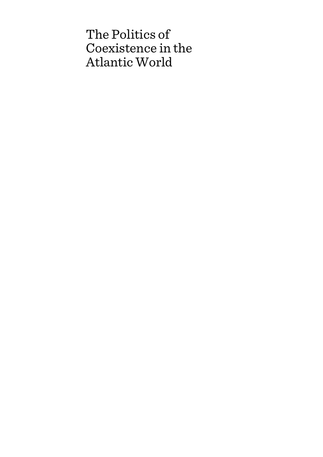# The Politics of Coexistence in the Atlantic World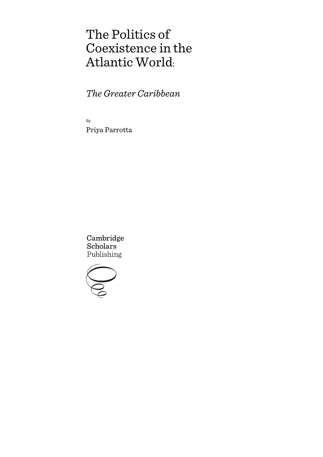# The Politics of Coexistence in the Atlantic World:

*The Greater Caribbean*

By Priya Parrotta

Cambridge **Scholars** Publishing

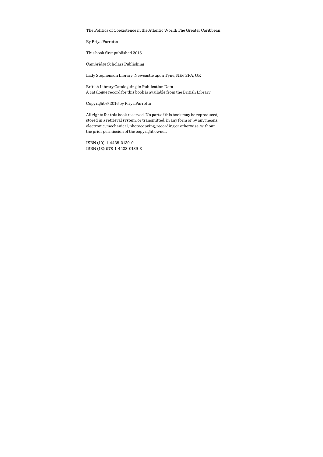The Politics of Coexistence in the Atlantic World: The Greater Caribbean

By Priya Parrotta

This book first published 2016

Cambridge Scholars Publishing

Lady Stephenson Library, Newcastle upon Tyne, NE6 2PA, UK

British Library Cataloguing in Publication Data A catalogue record for this book is available from the British Library

Copyright © 2016 by Priya Parrotta

All rights for this book reserved. No part of this book may be reproduced, stored in a retrieval system, or transmitted, in any form or by any means, electronic, mechanical, photocopying, recording or otherwise, without the prior permission of the copyright owner.

ISBN (10): 1-4438-0139-9 ISBN (13): 978-1-4438-0139-3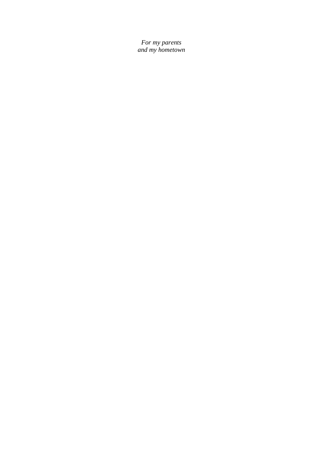*For my parents and my hometown*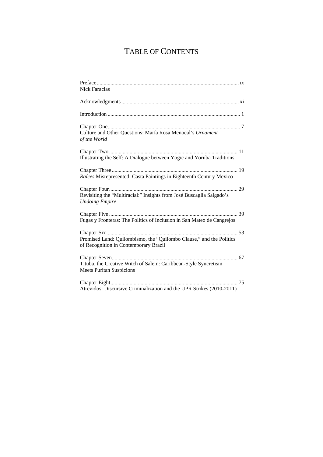## TABLE OF CONTENTS

| Nick Faraclas                                                                                                |
|--------------------------------------------------------------------------------------------------------------|
|                                                                                                              |
|                                                                                                              |
| Culture and Other Questions: María Rosa Menocal's Ornament<br>of the World                                   |
| Illustrating the Self: A Dialogue between Yogic and Yoruba Traditions                                        |
| Raíces Misrepresented: Casta Paintings in Eighteenth Century Mexico                                          |
| Revisiting the "Multiracial:" Insights from José Buscaglia Salgado's<br><b>Undoing Empire</b>                |
| Fugas y Fronteras: The Politics of Inclusion in San Mateo de Cangrejos                                       |
| Promised Land: Quilombismo, the "Quilombo Clause," and the Politics<br>of Recognition in Contemporary Brazil |
| Tituba, the Creative Witch of Salem: Caribbean-Style Syncretism<br><b>Meets Puritan Suspicions</b>           |
| Atrevidos: Discursive Criminalization and the UPR Strikes (2010-2011)                                        |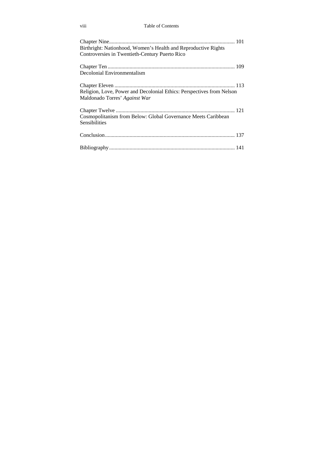#### viii Table of Contents

| Birthright: Nationhood, Women's Health and Reproductive Rights<br>Controversies in Twentieth-Century Puerto Rico |
|------------------------------------------------------------------------------------------------------------------|
| Decolonial Environmentalism                                                                                      |
| Religion, Love, Power and Decolonial Ethics: Perspectives from Nelson<br>Maldonado Torres' Against War           |
| Cosmopolitanism from Below: Global Governance Meets Caribbean<br>Sensibilities                                   |
|                                                                                                                  |
|                                                                                                                  |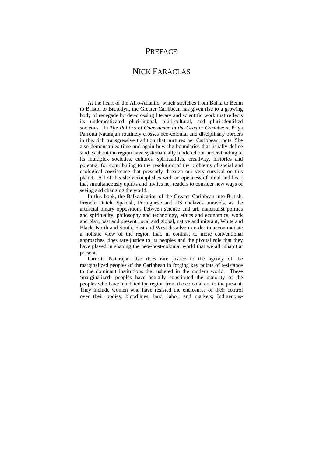## **PREFACE**

## NICK FARACLAS

At the heart of the Afro-Atlantic, which stretches from Bahia to Benin to Bristol to Brooklyn, the Greater Caribbean has given rise to a growing body of renegade border-crossing literary and scientific work that reflects its undomesticated pluri-lingual, pluri-cultural, and pluri-identified societies. In *The Politics of Coexistence in the Greater Caribbean*, Priya Parrotta Natarajan routinely crosses neo-colonial and disciplinary borders in this rich transgressive tradition that nurtures her Caribbean roots. She also demonstrates time and again how the boundaries that usually define studies about the region have systematically hindered our understanding of its multiplex societies, cultures, spiritualities, creativity, histories and potential for contributing to the resolution of the problems of social and ecological coexistence that presently threaten our very survival on this planet. All of this she accomplishes with an openness of mind and heart that simultaneously uplifts and invites her readers to consider new ways of seeing and changing the world.

In this book, the Balkanization of the Greater Caribbean into British, French, Dutch, Spanish, Portuguese and US enclaves unravels, as the artificial binary oppositions between science and art, materialist politics and spirituality, philosophy and technology, ethics and economics, work and play, past and present, local and global, native and migrant, White and Black, North and South, East and West dissolve in order to accommodate a holistic view of the region that, in contrast to more conventional approaches, does rare justice to its peoples and the pivotal role that they have played in shaping the neo-/post-colonial world that we all inhabit at present.

Parrotta Natarajan also does rare justice to the agency of the marginalized peoples of the Caribbean in forging key points of resistance to the dominant institutions that ushered in the modern world. These 'marginalized' peoples have actually constituted the majority of the peoples who have inhabited the region from the colonial era to the present. They include women who have resisted the enclosures of their control over their bodies, bloodlines, land, labor, and markets; Indigenous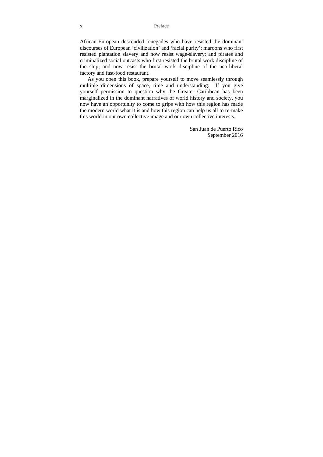African-European descended renegades who have resisted the dominant discourses of European 'civilization' and 'racial purity'; maroons who first resisted plantation slavery and now resist wage-slavery; and pirates and criminalized social outcasts who first resisted the brutal work discipline of the ship, and now resist the brutal work discipline of the neo-liberal factory and fast-food restaurant.

As you open this book, prepare yourself to move seamlessly through multiple dimensions of space, time and understanding. If you give yourself permission to question why the Greater Caribbean has been marginalized in the dominant narratives of world history and society, you now have an opportunity to come to grips with how this region has made the modern world what it is and how this region can help us all to re-make this world in our own collective image and our own collective interests.

> San Juan de Puerto Rico September 2016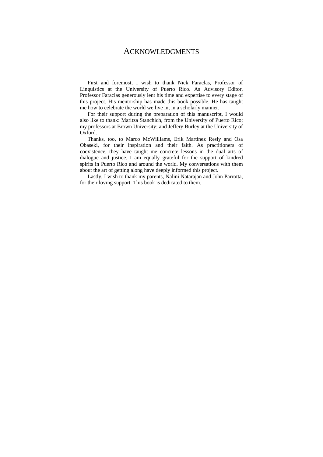### ACKNOWLEDGMENTS

First and foremost, I wish to thank Nick Faraclas, Professor of Linguistics at the University of Puerto Rico. As Advisory Editor, Professor Faraclas generously lent his time and expertise to every stage of this project. His mentorship has made this book possible. He has taught me how to celebrate the world we live in, in a scholarly manner.

For their support during the preparation of this manuscript, I would also like to thank: Maritza Stanchich, from the University of Puerto Rico; my professors at Brown University; and Jeffery Burley at the University of Oxford.

Thanks, too, to Marco McWilliams, Erik Martínez Resly and Osa Obaseki, for their inspiration and their faith. As practitioners of coexistence, they have taught me concrete lessons in the dual arts of dialogue and justice. I am equally grateful for the support of kindred spirits in Puerto Rico and around the world. My conversations with them about the art of getting along have deeply informed this project.

Lastly, I wish to thank my parents, Nalini Natarajan and John Parrotta, for their loving support. This book is dedicated to them.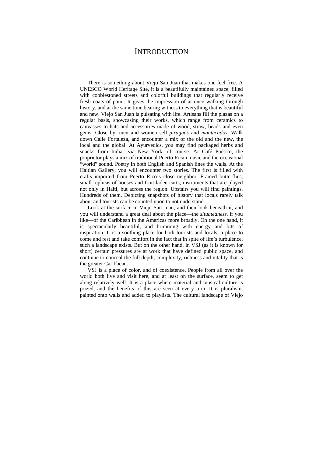## **INTRODUCTION**

There is something about Viejo San Juan that makes one feel free. A UNESCO World Heritage Site, it is a beautifully maintained space, filled with cobblestoned streets and colorful buildings that regularly receive fresh coats of paint. It gives the impression of at once walking through history, and at the same time bearing witness to everything that is beautiful and new. Viejo San Juan is pulsating with life. Artisans fill the plazas on a regular basis, showcasing their works, which range from ceramics to canvasses to hats and accessories made of wood, straw, beads and even gems. Close by, men and women sell *piraguas* and *mantecados*. Walk down Calle Fortaleza, and encounter a mix of the old and the new, the local and the global. At Ayurvedics, you may find packaged herbs and snacks from India—via New York, of course. At Café Poético, the proprietor plays a mix of traditional Puerto Rican music and the occasional "world" sound. Poetry in both English and Spanish lines the walls. At the Haitian Gallery, you will encounter two stories. The first is filled with crafts imported from Puerto Rico's close neighbor. Framed butterflies, small replicas of houses and fruit-laden carts, instruments that are played not only in Haiti, but across the region. Upstairs you will find paintings. Hundreds of them. Depicting snapshots of history that locals rarely talk about and tourists can be counted upon to not understand.

Look at the surface in Viejo San Juan, and then look beneath it, and you will understand a great deal about the place—the *situatedness*, if you like—of the Caribbean in the Americas more broadly. On the one hand, it is spectacularly beautiful, and brimming with energy and bits of inspiration. It is a soothing place for both tourists and locals, a place to come and rest and take comfort in the fact that in spite of life's turbulence, such a landscape exists. But on the other hand, in VSJ (as it is known for short) certain pressures are at work that have defined public space, and continue to conceal the full depth, complexity, richness and vitality that is the greater Caribbean.

VSJ is a place of color, and of coexistence. People from all over the world both live and visit here, and at least on the surface, seem to get along relatively well. It is a place where material and musical culture is prized, and the benefits of this are seen at every turn. It is pluralism, painted onto walls and added to playlists. The cultural landscape of Viejo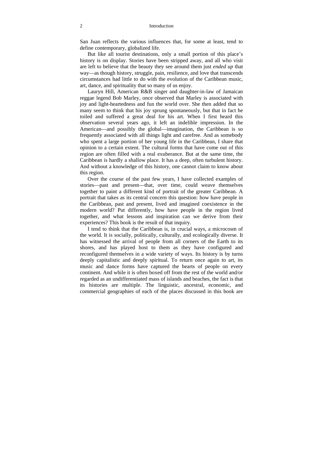San Juan reflects the various influences that, for some at least, tend to define contemporary, globalized life.

But like all tourist destinations, only a small portion of this place's history is on display. Stories have been stripped away, and all who visit are left to believe that the beauty they see around them just *ended up* that way—as though history, struggle, pain, resilience, and love that transcends circumstances had little to do with the evolution of the Caribbean music, art, dance, and spirituality that so many of us enjoy.

Lauryn Hill, American R&B singer and daughter-in-law of Jamaican reggae legend Bob Marley, once observed that Marley is associated with joy and light-heartedness and fun the world over. She then added that so many seem to think that his joy sprung spontaneously, but that in fact he toiled and suffered a great deal for his art. When I first heard this observation several years ago, it left an indelible impression. In the American—and possibly the global—imagination, the Caribbean is so frequently associated with all things light and carefree. And as somebody who spent a large portion of her young life in the Caribbean, I share that opinion to a certain extent. The cultural forms that have come out of this region are often filled with a real exuberance. But at the same time, the Caribbean is hardly a shallow place. It has a deep, often turbulent history. And without a knowledge of this history, one cannot claim to know about this region.

Over the course of the past few years, I have collected examples of stories—past and present—that, over time, could weave themselves together to paint a different kind of portrait of the greater Caribbean. A portrait that takes as its central concern this question: how have people in the Caribbean, past and present, lived and imagined coexistence in the modern world? Put differently, how have people in the region lived together, and what lessons and inspiration can we derive from their experiences? This book is the result of that inquiry.

I tend to think that the Caribbean is, in crucial ways, a microcosm of the world. It is socially, politically, culturally, and ecologically diverse. It has witnessed the arrival of people from all corners of the Earth to its shores, and has played host to them as they have configured and reconfigured themselves in a wide variety of ways. Its history is by turns deeply capitalistic and deeply spiritual. To return once again to art, its music and dance forms have captured the hearts of people on every continent. And while it is often boxed off from the rest of the world and/or regarded as an undifferentiated mass of islands and beaches, the fact is that its histories are multiple. The linguistic, ancestral, economic, and commercial geographies of each of the places discussed in this book are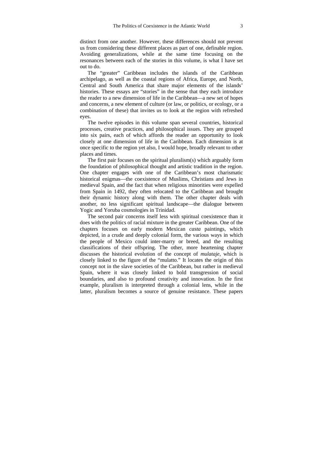distinct from one another. However, these differences should not prevent us from considering these different places as part of one, definable region. Avoiding generalizations, while at the same time focusing on the resonances between each of the stories in this volume, is what I have set out to do.

The "greater" Caribbean includes the islands of the Caribbean archipelago, as well as the coastal regions of Africa, Europe, and North, Central and South America that share major elements of the islands' histories. These essays are "stories" in the sense that they each introduce the reader to a new dimension of life in the Caribbean—a new set of hopes and concerns, a new element of culture (or law, or politics, or ecology, or a combination of these) that invites us to look at the region with refreshed eyes.

The twelve episodes in this volume span several countries, historical processes, creative practices, and philosophical issues. They are grouped into six pairs, each of which affords the reader an opportunity to look closely at one dimension of life in the Caribbean. Each dimension is at once specific to the region yet also, I would hope, broadly relevant to other places and times.

The first pair focuses on the spiritual pluralism(s) which arguably form the foundation of philosophical thought and artistic tradition in the region. One chapter engages with one of the Caribbean's most charismatic historical enigmas—the coexistence of Muslims, Christians and Jews in medieval Spain, and the fact that when religious minorities were expelled from Spain in 1492, they often relocated to the Caribbean and brought their dynamic history along with them. The other chapter deals with another, no less significant spiritual landscape—the dialogue between Yogic and Yoruba cosmologies in Trinidad.

The second pair concerns itself less with spiritual coexistence than it does with the politics of racial mixture in the greater Caribbean. One of the chapters focuses on early modern Mexican *casta* paintings, which depicted, in a crude and deeply colonial form, the various ways in which the people of Mexico could inter-marry or breed, and the resulting classifications of their offspring. The other, more heartening chapter discusses the historical evolution of the concept of *mulataje*, which is closely linked to the figure of the "mulatto." It locates the origin of this concept not in the slave societies of the Caribbean, but rather in medieval Spain, where it was closely linked to bold transgression of social boundaries, and also to profound creativity and innovation. In the first example, pluralism is interpreted through a colonial lens, while in the latter, pluralism becomes a source of genuine resistance. These papers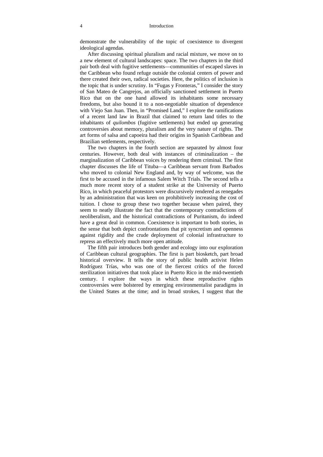#### 4 Introduction

demonstrate the vulnerability of the topic of coexistence to divergent ideological agendas.

After discussing spiritual pluralism and racial mixture, we move on to a new element of cultural landscapes: space. The two chapters in the third pair both deal with fugitive settlements—communities of escaped slaves in the Caribbean who found refuge outside the colonial centers of power and there created their own, radical societies. Here, the politics of inclusion is the topic that is under scrutiny. In "Fugas y Fronteras," I consider the story of San Mateo de Cangrejos, an officially sanctioned settlement in Puerto Rico that on the one hand allowed its inhabitants some necessary freedoms, but also bound it to a non-negotiable situation of dependence with Viejo San Juan. Then, in "Promised Land," I explore the ramifications of a recent land law in Brazil that claimed to return land titles to the inhabitants of *quilombos* (fugitive settlements) but ended up generating controversies about memory, pluralism and the very nature of rights. The art forms of salsa and capoeira had their origins in Spanish Caribbean and Brazilian settlements, respectively.

The two chapters in the fourth section are separated by almost four centuries. However, both deal with instances of criminalization – the marginalization of Caribbean voices by rendering them criminal. The first chapter discusses the life of Tituba—a Caribbean servant from Barbados who moved to colonial New England and, by way of welcome, was the first to be accused in the infamous Salem Witch Trials. The second tells a much more recent story of a student strike at the University of Puerto Rico, in which peaceful protestors were discursively rendered as renegades by an administration that was keen on prohibitively increasing the cost of tuition. I chose to group these two together because when paired, they seem to neatly illustrate the fact that the contemporary contradictions of neoliberalism, and the historical contradictions of Puritanism, do indeed have a great deal in common. Coexistence is important to both stories, in the sense that both depict confrontations that pit syncretism and openness against rigidity and the crude deployment of colonial infrastructure to repress an effectively much more open attitude.

The fifth pair introduces both gender and ecology into our exploration of Caribbean cultural geographies. The first is part biosketch, part broad historical overview. It tells the story of public health activist Helen Rodríguez Trías, who was one of the fiercest critics of the forced sterilization initiatives that took place in Puerto Rico in the mid-twentieth century. I explore the ways in which these reproductive rights controversies were bolstered by emerging environmentalist paradigms in the United States at the time; and in broad strokes, I suggest that the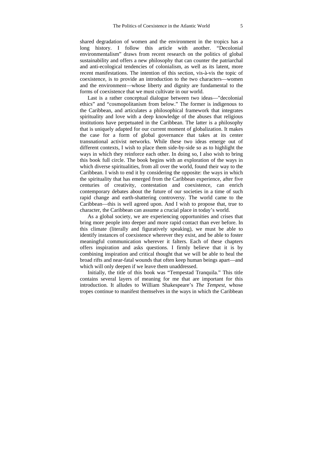shared degradation of women and the environment in the tropics has a long history. I follow this article with another. "Decolonial environmentalism" draws from recent research on the politics of global sustainability and offers a new philosophy that can counter the patriarchal and anti-ecological tendencies of colonialism, as well as its latent, more recent manifestations. The intention of this section, vis-à-vis the topic of coexistence, is to provide an introduction to the two characters—women and the environment—whose liberty and dignity are fundamental to the forms of coexistence that we must cultivate in our world.

Last is a rather conceptual dialogue between two ideas—"decolonial ethics" and "cosmopolitanism from below." The former is indigenous to the Caribbean, and articulates a philosophical framework that integrates spirituality and love with a deep knowledge of the abuses that religious institutions have perpetuated in the Caribbean. The latter is a philosophy that is uniquely adapted for our current moment of globalization. It makes the case for a form of global governance that takes at its center transnational activist networks. While these two ideas emerge out of different contexts, I wish to place them side-by-side so as to highlight the ways in which they reinforce each other. In doing so, I also wish to bring this book full circle. The book begins with an exploration of the ways in which diverse spiritualities, from all over the world, found their way to the Caribbean. I wish to end it by considering the opposite: the ways in which the spirituality that has emerged from the Caribbean experience, after five centuries of creativity, contestation and coexistence, can enrich contemporary debates about the future of our societies in a time of such rapid change and earth-shattering controversy. The world came to the Caribbean—this is well agreed upon. And I wish to propose that, true to character, the Caribbean can assume a crucial place in today's world.

As a global society, we are experiencing opportunities and crises that bring more people into deeper and more rapid contact than ever before. In this climate (literally and figuratively speaking), we must be able to identify instances of coexistence wherever they exist, and be able to foster meaningful communication wherever it falters. Each of these chapters offers inspiration and asks questions. I firmly believe that it is by combining inspiration and critical thought that we will be able to heal the broad rifts and near-fatal wounds that often keep human beings apart—and which will only deepen if we leave them unaddressed.

Initially, the title of this book was "Tempestad Tranquila." This title contains several layers of meaning for me that are important for this introduction. It alludes to William Shakespeare's *The Tempest*, whose tropes continue to manifest themselves in the ways in which the Caribbean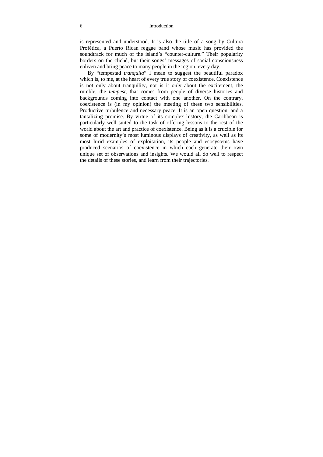#### 6 Introduction

is represented and understood. It is also the title of a song by Cultura Profética, a Puerto Rican reggae band whose music has provided the soundtrack for much of the island's "counter-culture." Their popularity borders on the cliché, but their songs' messages of social consciousness enliven and bring peace to many people in the region, every day.

By "tempestad *tranquila*" I mean to suggest the beautiful paradox which is, to me, at the heart of every true story of coexistence. Coexistence is not only about tranquility, nor is it only about the excitement, the rumble, the *tempest*, that comes from people of diverse histories and backgrounds coming into contact with one another. On the contrary, coexistence is (in my opinion) the meeting of these two sensibilities. Productive turbulence and necessary peace. It is an open question, and a tantalizing promise. By virtue of its complex history, the Caribbean is particularly well suited to the task of offering lessons to the rest of the world about the art and practice of coexistence. Being as it is a crucible for some of modernity's most luminous displays of creativity, as well as its most lurid examples of exploitation, its people and ecosystems have produced scenarios of coexistence in which each generate their own unique set of observations and insights. We would all do well to respect the details of these stories, and learn from their trajectories.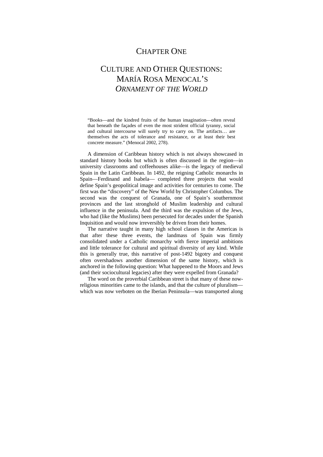## CHAPTER ONE

## CULTURE AND OTHER QUESTIONS: MARÍA ROSA MENOCAL'S *ORNAMENT OF THE WORLD*

"Books—and the kindred fruits of the human imagination—often reveal that beneath the façades of even the most strident official tyranny, social and cultural intercourse will surely try to carry on. The artifacts… are themselves the acts of tolerance and resistance, or at least their best concrete measure." (Menocal 2002, 278).

A dimension of Caribbean history which is not always showcased in standard history books but which is often discussed in the region—in university classrooms and coffeehouses alike—is the legacy of medieval Spain in the Latin Caribbean. In 1492, the reigning Catholic monarchs in Spain—Ferdinand and Isabela— completed three projects that would define Spain's geopolitical image and activities for centuries to come. The first was the "discovery" of the New World by Christopher Columbus. The second was the conquest of Granada, one of Spain's southernmost provinces and the last stronghold of Muslim leadership and cultural influence in the peninsula. And the third was the expulsion of the Jews, who had (like the Muslims) been persecuted for decades under the Spanish Inquisition and would now irreversibly be driven from their homes.

The narrative taught in many high school classes in the Americas is that after these three events, the landmass of Spain was firmly consolidated under a Catholic monarchy with fierce imperial ambitions and little tolerance for cultural and spiritual diversity of any kind. While this is generally true, this narrative of post-1492 bigotry and conquest often overshadows another dimension of the same history, which is anchored in the following question: What happened to the Moors and Jews (and their sociocultural legacies) after they were expelled from Granada?

The word on the proverbial Caribbean street is that many of these nowreligious minorities came to the islands, and that the culture of pluralism which was now verboten on the Iberian Peninsula—was transported along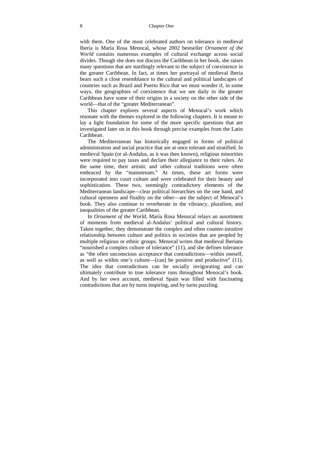with them. One of the most celebrated authors on tolerance in medieval Iberia is María Rosa Menocal, whose 2002 bestseller *Ornament of the World* contains numerous examples of cultural exchange across social divides. Though she does not discuss the Caribbean in her book, she raises many questions that are startlingly relevant to the subject of coexistence in the greater Caribbean. In fact, at times her portrayal of medieval Iberia bears such a close resemblance to the cultural and political landscapes of countries such as Brazil and Puerto Rico that we must wonder if, in some ways, the geographies of coexistence that we see daily in the greater Caribbean have some of their origins in a society on the other side of the world—that of the "greater Mediterranean".

This chapter explores several aspects of Menocal's work which resonate with the themes explored in the following chapters. It is meant to lay a light foundation for some of the more specific questions that are investigated later on in this book through precise examples from the Latin Caribbean.

The Mediterranean has historically engaged in forms of political administration and social practice that are at once tolerant and stratified. In medieval Spain (or al-Andalus, as it was then known), religious minorities were required to pay taxes and declare their allegiance to their rulers. At the same time, their artistic and other cultural traditions were often embraced by the "mainstream." At times, these art forms were incorporated into court culture and were celebrated for their beauty and sophistication. These two, seemingly contradictory elements of the Mediterranean landscape—clear political hierarchies on the one hand, and cultural openness and fluidity on the other—are the subject of Menocal's book. They also continue to reverberate in the vibrancy, pluralism, and inequalities of the greater Caribbean.

In *Ornament of the World*, María Rosa Menocal relays an assortment of moments from medieval al-Andalus' political and cultural history. Taken together, they demonstrate the complex and often counter-intuitive relationship between culture and politics in societies that are peopled by multiple religious or ethnic groups. Menocal writes that medieval Iberians "nourished a complex culture of tolerance" (11), and she defines tolerance as "the often unconscious acceptance that contradictions—within oneself, as well as within one's culture—[can] be positive and productive" (11). The idea that contradictions can be socially invigorating and can ultimately contribute to true tolerance runs throughout Menocal's book. And by her own account, medieval Spain was filled with fascinating contradictions that are by turns inspiring, and by turns puzzling.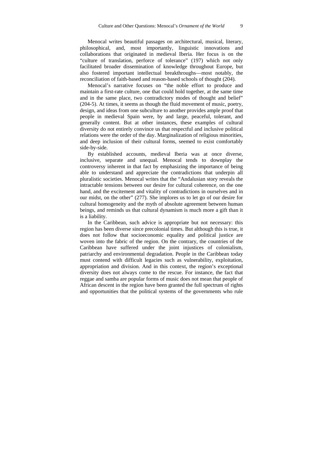Menocal writes beautiful passages on architectural, musical, literary, philosophical, and, most importantly, linguistic innovations and collaborations that originated in medieval Iberia. Her focus is on the "culture of translation, perforce of tolerance" (197) which not only facilitated broader dissemination of knowledge throughout Europe, but also fostered important intellectual breakthroughs—most notably, the reconciliation of faith-based and reason-based schools of thought (204).

Menocal's narrative focuses on "the noble effort to produce and maintain a first-rate culture, one that could hold together, at the same time and in the same place, two contradictory modes of thought and belief" (204-5). At times, it seems as though the fluid movement of music, poetry, design, and ideas from one subculture to another provides ample proof that people in medieval Spain were, by and large, peaceful, tolerant, and generally content. But at other instances, these examples of cultural diversity do not entirely convince us that respectful and inclusive political relations were the order of the day. Marginalization of religious minorities, and deep inclusion of their cultural forms, seemed to exist comfortably side-by-side.

By established accounts, medieval Iberia was at once diverse, inclusive, separate and unequal. Menocal tends to downplay the controversy inherent in that fact by emphasizing the importance of being able to understand and appreciate the contradictions that underpin all pluralistic societies. Menocal writes that the "Andalusian story reveals the intractable tensions between our desire for cultural coherence, on the one hand, and the excitement and vitality of contradictions in ourselves and in our midst, on the other" (277). She implores us to let go of our desire for cultural homogeneity and the myth of absolute agreement between human beings, and reminds us that cultural dynamism is much more a gift than it is a liability.

In the Caribbean, such advice is appropriate but not necessary: this region has been diverse since precolonial times. But although this is true, it does not follow that socioeconomic equality and political justice are woven into the fabric of the region. On the contrary, the countries of the Caribbean have suffered under the joint injustices of colonialism, patriarchy and environmental degradation. People in the Caribbean today must contend with difficult legacies such as vulnerability, exploitation, appropriation and division. And in this context, the region's exceptional diversity does not always come to the rescue. For instance, the fact that reggae and samba are popular forms of music does not mean that people of African descent in the region have been granted the full spectrum of rights and opportunities that the political systems of the governments who rule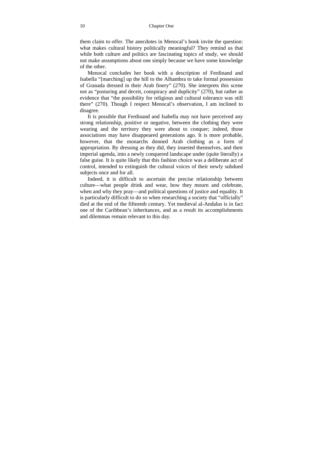them claim to offer. The anecdotes in Menocal's book invite the question: what makes cultural history politically meaningful? They remind us that while both culture and politics are fascinating topics of study, we should not make assumptions about one simply because we have some knowledge of the other.

Menocal concludes her book with a description of Ferdinand and Isabella "[marching] up the hill to the Alhambra to take formal possession of Granada dressed in their Arab finery" (270). She interprets this scene not as "posturing and deceit, conspiracy and duplicity" (270), but rather as evidence that "the possibility for religious and cultural tolerance was still there" (270). Though I respect Menocal's observation, I am inclined to disagree.

It is possible that Ferdinand and Isabella may not have perceived any strong relationship, positive or negative, between the clothing they were wearing and the territory they were about to conquer; indeed, those associations may have disappeared generations ago. It is more probable, however, that the monarchs donned Arab clothing as a form of appropriation. By dressing as they did, they inserted themselves, and their imperial agenda, into a newly conquered landscape under (quite literally) a false guise. It is quite likely that this fashion choice was a deliberate act of control, intended to extinguish the cultural voices of their newly subdued subjects once and for all.

Indeed, it is difficult to ascertain the precise relationship between culture—what people drink and wear, how they mourn and celebrate, when and why they pray—and political questions of justice and equality. It is particularly difficult to do so when researching a society that "officially" died at the end of the fifteenth century. Yet medieval al-Andalus is in fact one of the Caribbean's inheritances, and as a result its accomplishments and dilemmas remain relevant to this day.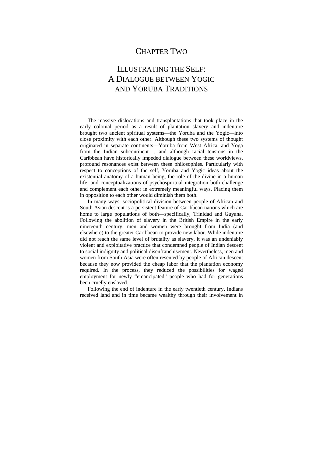## CHAPTER TWO

## ILLUSTRATING THE SELF: A DIALOGUE BETWEEN YOGIC AND YORUBA TRADITIONS

The massive dislocations and transplantations that took place in the early colonial period as a result of plantation slavery and indenture brought two ancient spiritual systems—the Yoruba and the Yogic—into close proximity with each other. Although these two systems of thought originated in separate continents—Yoruba from West Africa, and Yoga from the Indian subcontinent—, and although racial tensions in the Caribbean have historically impeded dialogue between these worldviews, profound resonances exist between these philosophies. Particularly with respect to conceptions of the self, Yoruba and Yogic ideas about the existential anatomy of a human being, the role of the divine in a human life, and conceptualizations of psychospiritual integration both challenge and complement each other in extremely meaningful ways. Placing them in opposition to each other would diminish them both.

In many ways, sociopolitical division between people of African and South Asian descent is a persistent feature of Caribbean nations which are home to large populations of both—specifically, Trinidad and Guyana. Following the abolition of slavery in the British Empire in the early nineteenth century, men and women were brought from India (and elsewhere) to the greater Caribbean to provide new labor. While indenture did not reach the same level of brutality as slavery, it was an undeniably violent and exploitative practice that condemned people of Indian descent to social indignity and political disenfranchisement. Nevertheless, men and women from South Asia were often resented by people of African descent because they now provided the cheap labor that the plantation economy required. In the process, they reduced the possibilities for waged employment for newly "emancipated" people who had for generations been cruelly enslaved.

Following the end of indenture in the early twentieth century, Indians received land and in time became wealthy through their involvement in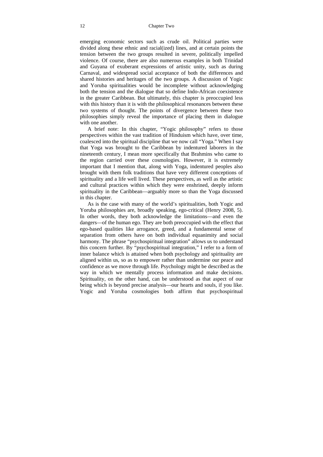#### 12 Chapter Two

emerging economic sectors such as crude oil. Political parties were divided along these ethnic and racial(ized) lines, and at certain points the tension between the two groups resulted in severe, politically impelled violence. Of course, there are also numerous examples in both Trinidad and Guyana of exuberant expressions of artistic unity, such as during Carnaval, and widespread social acceptance of both the differences and shared histories and heritages of the two groups. A discussion of Yogic and Yoruba spiritualities would be incomplete without acknowledging both the tension and the dialogue that so define Indo-African coexistence in the greater Caribbean. But ultimately, this chapter is preoccupied less with this history than it is with the philosophical resonances between these two systems of thought. The points of divergence between these two philosophies simply reveal the importance of placing them in dialogue with one another

A brief note: In this chapter, "Yogic philosophy" refers to those perspectives within the vast tradition of Hinduism which have, over time, coalesced into the spiritual discipline that we now call "Yoga." When I say that Yoga was brought to the Caribbean by indentured laborers in the nineteenth century, I mean more specifically that Brahmins who came to the region carried over these cosmologies. However, it is extremely important that I mention that, along with Yoga, indentured peoples also brought with them folk traditions that have very different conceptions of spirituality and a life well lived. These perspectives, as well as the artistic and cultural practices within which they were enshrined, deeply inform spirituality in the Caribbean—arguably more so than the Yoga discussed in this chapter.

As is the case with many of the world's spiritualities, both Yogic and Yoruba philosophies are, broadly speaking, ego-critical (Henry 2008, 5). In other words, they both acknowledge the limitations—and even the dangers—of the human ego. They are both preoccupied with the effect that ego-based qualities like arrogance, greed, and a fundamental sense of separation from others have on both individual equanimity and social harmony. The phrase "psychospiritual integration" allows us to understand this concern further. By "psychospiritual integration," I refer to a form of inner balance which is attained when both psychology and spirituality are aligned within us, so as to empower rather than undermine our peace and confidence as we move through life. Psychology might be described as the way in which we mentally process information and make decisions. Spirituality, on the other hand, can be understood as that aspect of our being which is beyond precise analysis—our hearts and souls, if you like. Yogic and Yoruba cosmologies both affirm that psychospiritual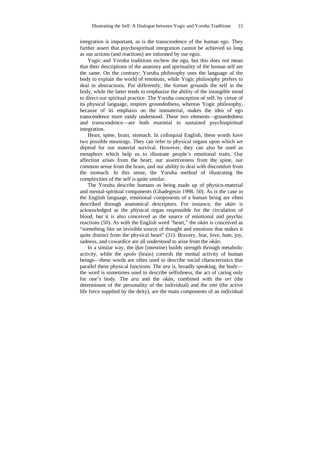integration is important, as is the transcendence of the human ego. They further assert that psychospiritual integration cannot be achieved so long as our actions (and reactions) are informed by our egos.

Yogic and Yoruba traditions eschew the ego, but this does not mean that their descriptions of the anatomy and spirituality of the human self are the same. On the contrary: Yoruba philosophy uses the language of the body to explain the world of emotions, while Yogic philosophy prefers to deal in abstractions. Put differently, the former grounds the self in the body, while the latter tends to emphasize the ability of the intangible mind to direct our spiritual practice. The Yoruba conception of self, by virtue of its physical language, inspires groundedness, whereas Yogic philosophy, because of its emphasis on the immaterial, makes the idea of ego transcendence more easily understood. These two elements—groundedness and transcendence—are both essential to sustained psychospiritual integration.

Heart, spine, brain, stomach. In colloquial English, these words have two possible meanings. They can refer to physical organs upon which we depend for our material survival. However, they can also be used as metaphors which help us to illustrate people's emotional traits. Our affection arises from the heart, our assertiveness from the spine, our common sense from the brain, and our ability to deal with discomfort from the stomach. In this sense, the Yoruba method of illustrating the complexities of the self is quite similar.

The Yoruba describe humans as being made up of physico-material and mental-spiritual components (Gbadegesin 1998, 50). As is the case in the English language, emotional components of a human being are often described through anatomical descriptors. For instance, the *okàn* is acknowledged as the physical organ responsible for the circulation of blood, but it is also conceived as the source of emotional and psychic reactions (50). As with the English word "heart," the *okàn* is conceived as "something like an invisible source of thought and emotions that makes it quite distinct from the physical heart" (31). Bravery, fear, love, hate, joy, sadness, and cowardice are all understood to arise from the *okàn*.

In a similar way, the *ìfun* (intestine) builds strength through metabolic activity, while the *opolo* (brain) controls the mental activity of human beings—these words are often used to describe social characteristics that parallel these physical functions. The *ara* is, broadly speaking, the body the word is sometimes used to describe selfishness, the act of caring only for one's body. The *ara* and the *okàn*, combined with the *ori* (the determinant of the personality of the individual) and the *emi* (the active life force supplied by the deity), are the main components of an individual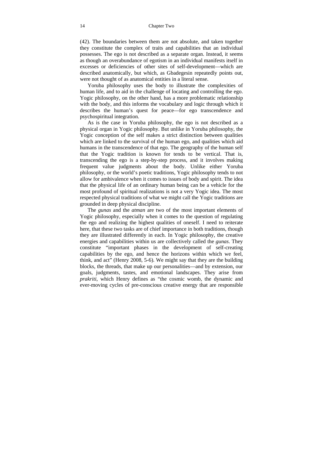#### 14 Chapter Two

(42). The boundaries between them are not absolute, and taken together they constitute the complex of traits and capabilities that an individual possesses. The ego is not described as a separate organ. Instead, it seems as though an overabundance of egotism in an individual manifests itself in excesses or deficiencies of other sites of self-development—which are described anatomically, but which, as Gbadegesin repeatedly points out, were not thought of as anatomical entities in a literal sense.

Yoruba philosophy uses the body to illustrate the complexities of human life, and to aid in the challenge of locating and controlling the ego. Yogic philosophy, on the other hand, has a more problematic relationship with the body, and this informs the vocabulary and logic through which it describes the human's quest for peace—for ego transcendence and psychospiritual integration.

As is the case in Yoruba philosophy, the ego is not described as a physical organ in Yogic philosophy. But unlike in Yoruba philosophy, the Yogic conception of the self makes a strict distinction between qualities which are linked to the survival of the human ego, and qualities which aid humans in the transcendence of that ego. The geography of the human self that the Yogic tradition is known for tends to be vertical. That is, transcending the ego is a step-by-step process, and it involves making frequent value judgments about the body. Unlike either Yoruba philosophy, or the world's poetic traditions, Yogic philosophy tends to not allow for ambivalence when it comes to issues of body and spirit. The idea that the physical life of an ordinary human being can be a vehicle for the most profound of spiritual realizations is not a very Yogic idea. The most respected physical traditions of what we might call the Yogic traditions are grounded in deep physical discipline.

The *gunas* and the *atman* are two of the most important elements of Yogic philosophy, especially when it comes to the question of regulating the ego and realizing the highest qualities of oneself. I need to reiterate here, that these two tasks are of chief importance in both traditions, though they are illustrated differently in each. In Yogic philosophy, the creative energies and capabilities within us are collectively called the *gunas*. They constitute "important phases in the development of self-creating capabilities by the ego, and hence the horizons within which we feel, think, and act" (Henry 2008, 5-6). We might say that they are the building blocks, the threads, that make up our personalities—and by extension, our goals, judgments, tastes, and emotional landscapes. They arise from *prakriti*, which Henry defines as "the cosmic womb, the dynamic and ever-moving cycles of pre-conscious creative energy that are responsible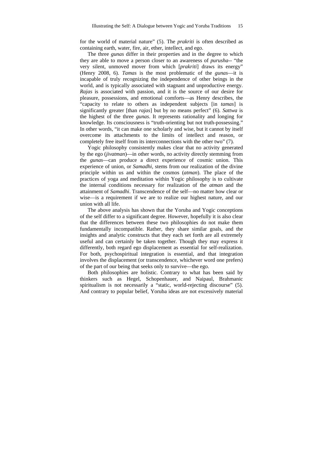for the world of material nature" (5). The *prakriti* is often described as containing earth, water, fire, air, ether, intellect, and ego.

The three *gunas* differ in their properties and in the degree to which they are able to move a person closer to an awareness of *purusha--* "the very silent, unmoved mover from which [*prakriti*] draws its energy" (Henry 2008, 6). *Tamas* is the most problematic of the *gunas*—it is incapable of truly recognizing the independence of other beings in the world, and is typically associated with stagnant and unproductive energy. *Rajas* is associated with passion, and it is the source of our desire for pleasure, possessions, and emotional comforts—as Henry describes, the "capacity to relate to others as independent subjects [in *tamas*] is significantly greater [than *rajas*] but by no means perfect" (6). *Sattwa* is the highest of the three *gunas*. It represents rationality and longing for knowledge. Its consciousness is "truth-orienting but not truth-possessing." In other words, "it can make one scholarly and wise, but it cannot by itself overcome its attachments to the limits of intellect and reason, or completely free itself from its interconnections with the other two" (7).

Yogic philosophy consistently makes clear that no activity generated by the ego (*jivatman*)—in other words, no activity directly stemming from the *gunas*—can produce a direct experience of cosmic union. This experience of union, or *Samadhi*, stems from our realization of the divine principle within us and within the cosmos (*atman*). The place of the practices of yoga and meditation within Yogic philosophy is to cultivate the internal conditions necessary for realization of the *atman* and the attainment of *Samadhi*. Transcendence of the self—no matter how clear or wise—is a requirement if we are to realize our highest nature, and our union with all life.

The above analysis has shown that the Yoruba and Yogic conceptions of the self differ to a significant degree. However, hopefully it is also clear that the differences between these two philosophies do not make them fundamentally incompatible. Rather, they share similar goals, and the insights and analytic constructs that they each set forth are all extremely useful and can certainly be taken together. Though they may express it differently, both regard ego displacement as essential for self-realization. For both, psychospiritual integration is essential, and that integration involves the displacement (or transcendence, whichever word one prefers) of the part of our being that seeks only to survive—the ego.

Both philosophies are holistic. Contrary to what has been said by thinkers such as Hegel, Schopenhauer, and Naipaul, Brahmanic spiritualism is not necessarily a "static, world-rejecting discourse" (5). And contrary to popular belief, Yoruba ideas are not excessively material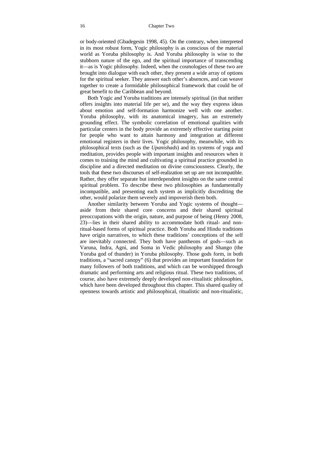or body-oriented (Gbadegesin 1998, 45). On the contrary, when interpreted in its most robust form, Yogic philosophy is as conscious of the material world as Yoruba philosophy is. And Yoruba philosophy is wise to the stubborn nature of the ego, and the spiritual importance of transcending it—as is Yogic philosophy. Indeed, when the cosmologies of these two are brought into dialogue with each other, they present a wide array of options for the spiritual seeker. They answer each other's absences, and can weave together to create a formidable philosophical framework that could be of great benefit to the Caribbean and beyond.

Both Yogic and Yoruba traditions are intensely spiritual (in that neither offers insights into material life per se), and the way they express ideas about emotion and self-formation harmonize well with one another. Yoruba philosophy, with its anatomical imagery, has an extremely grounding effect. The symbolic correlation of emotional qualities with particular centers in the body provide an extremely effective starting point for people who want to attain harmony and integration at different emotional registers in their lives. Yogic philosophy, meanwhile, with its philosophical texts (such as the *Upanishads*) and its systems of yoga and meditation, provides people with important insights and resources when it comes to training the mind and cultivating a spiritual practice grounded in discipline and a directed meditation on divine consciousness. Clearly, the tools that these two discourses of self-realization set up are not incompatible. Rather, they offer separate but interdependent insights on the same central spiritual problem. To describe these two philosophies as fundamentally incompatible, and presenting each system as implicitly discrediting the other, would polarize them severely and impoverish them both.

Another similarity between Yoruba and Yogic systems of thought aside from their shared core concerns and their shared spiritual preoccupations with the origin, nature, and purpose of being (Henry 2008, 23)—lies in their shared ability to accommodate both ritual- and nonritual-based forms of spiritual practice. Both Yoruba and Hindu traditions have origin narratives, to which these traditions' conceptions of the self are inevitably connected. They both have pantheons of gods—such as Varuna, Indra, Agni, and Soma in Vedic philosophy and Shango (the Yoruba god of thunder) in Yoruba philosophy. Those gods form, in both traditions, a "sacred canopy" (6) that provides an important foundation for many followers of both traditions, and which can be worshipped through dramatic and performing arts and religious ritual. These two traditions, of course, also have extremely deeply developed non-ritualistic philosophies, which have been developed throughout this chapter. This shared quality of openness towards artistic and philosophical, ritualistic and non-ritualistic,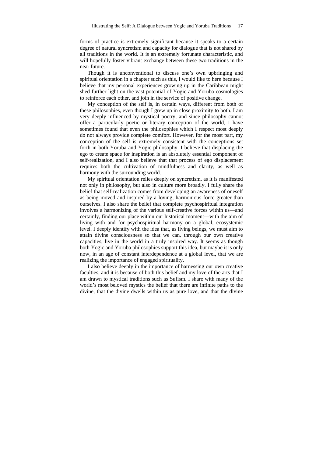forms of practice is extremely significant because it speaks to a certain degree of natural syncretism and capacity for dialogue that is not shared by all traditions in the world. It is an extremely fortunate characteristic, and will hopefully foster vibrant exchange between these two traditions in the near future.

Though it is unconventional to discuss one's own upbringing and spiritual orientation in a chapter such as this, I would like to here because I believe that my personal experiences growing up in the Caribbean might shed further light on the vast potential of Yogic and Yoruba cosmologies to reinforce each other, and join in the service of positive change.

My conception of the self is, in certain ways, different from both of these philosophies, even though I grew up in close proximity to both. I am very deeply influenced by mystical poetry, and since philosophy cannot offer a particularly poetic or literary conception of the world, I have sometimes found that even the philosophies which I respect most deeply do not always provide complete comfort. However, for the most part, my conception of the self is extremely consistent with the conceptions set forth in both Yoruba and Yogic philosophy. I believe that displacing the ego to create space for inspiration is an absolutely essential component of self-realization, and I also believe that that process of ego displacement requires both the cultivation of mindfulness and clarity, as well as harmony with the surrounding world.

My spiritual orientation relies deeply on syncretism, as it is manifested not only in philosophy, but also in culture more broadly. I fully share the belief that self-realization comes from developing an awareness of oneself as being moved and inspired by a loving, harmonious force greater than ourselves. I also share the belief that complete psychospiritual integration involves a harmonizing of the various self-creative forces within us—and certainly, finding our place within our historical moment—with the aim of living with and for psychospiritual harmony on a global, ecosystemic level. I deeply identify with the idea that, as living beings, we must aim to attain divine consciousness so that we can, through our own creative capacities, live in the world in a truly inspired way. It seems as though both Yogic and Yoruba philosophies support this idea, but maybe it is only now, in an age of constant interdependence at a global level, that we are realizing the importance of engaged spirituality.

I also believe deeply in the importance of harnessing our own creative faculties, and it is because of both this belief and my love of the arts that I am drawn to mystical traditions such as Sufism. I share with many of the world's most beloved mystics the belief that there are infinite paths to the divine, that the divine dwells within us as pure love, and that the divine